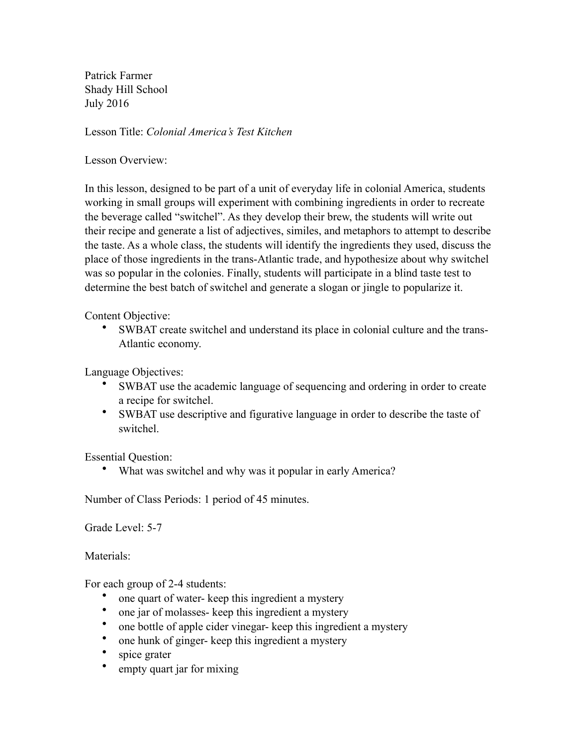Patrick Farmer Shady Hill School July 2016

Lesson Title: *Colonial America's Test Kitchen*

Lesson Overview:

In this lesson, designed to be part of a unit of everyday life in colonial America, students working in small groups will experiment with combining ingredients in order to recreate the beverage called "switchel". As they develop their brew, the students will write out their recipe and generate a list of adjectives, similes, and metaphors to attempt to describe the taste. As a whole class, the students will identify the ingredients they used, discuss the place of those ingredients in the trans-Atlantic trade, and hypothesize about why switchel was so popular in the colonies. Finally, students will participate in a blind taste test to determine the best batch of switchel and generate a slogan or jingle to popularize it.

Content Objective:

• SWBAT create switchel and understand its place in colonial culture and the trans-Atlantic economy.

Language Objectives:

- SWBAT use the academic language of sequencing and ordering in order to create a recipe for switchel.
- SWBAT use descriptive and figurative language in order to describe the taste of switchel.

Essential Question:

What was switchel and why was it popular in early America?

Number of Class Periods: 1 period of 45 minutes.

Grade Level: 5-7

Materials:

For each group of 2-4 students:

- one quart of water- keep this ingredient a mystery
- one jar of molasses- keep this ingredient a mystery<br>• one hottle of annie cider vinegar- keep this ingredie
- one bottle of apple cider vinegar- keep this ingredient a mystery
- one hunk of ginger- keep this ingredient a mystery
- spice grater
- empty quart jar for mixing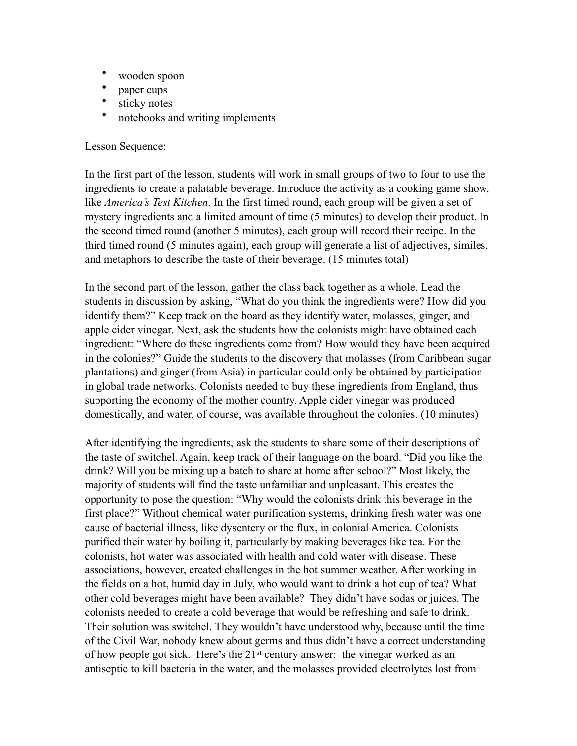- wooden spoon<br>• naner cups
- paper cups
- sticky notes
- notebooks and writing implements

## Lesson Sequence:

In the first part of the lesson, students will work in small groups of two to four to use the ingredients to create a palatable beverage. Introduce the activity as a cooking game show, like *America's Test Kitchen*. In the first timed round, each group will be given a set of mystery ingredients and a limited amount of time (5 minutes) to develop their product. In the second timed round (another 5 minutes), each group will record their recipe. In the third timed round (5 minutes again), each group will generate a list of adjectives, similes, and metaphors to describe the taste of their beverage. (15 minutes total)

In the second part of the lesson, gather the class back together as a whole. Lead the students in discussion by asking, "What do you think the ingredients were? How did you identify them?" Keep track on the board as they identify water, molasses, ginger, and apple cider vinegar. Next, ask the students how the colonists might have obtained each ingredient: "Where do these ingredients come from? How would they have been acquired in the colonies?" Guide the students to the discovery that molasses (from Caribbean sugar plantations) and ginger (from Asia) in particular could only be obtained by participation in global trade networks. Colonists needed to buy these ingredients from England, thus supporting the economy of the mother country. Apple cider vinegar was produced domestically, and water, of course, was available throughout the colonies. (10 minutes)

After identifying the ingredients, ask the students to share some of their descriptions of the taste of switchel. Again, keep track of their language on the board. "Did you like the drink? Will you be mixing up a batch to share at home after school?" Most likely, the majority of students will find the taste unfamiliar and unpleasant. This creates the opportunity to pose the question: "Why would the colonists drink this beverage in the first place?" Without chemical water purification systems, drinking fresh water was one cause of bacterial illness, like dysentery or the flux, in colonial America. Colonists purified their water by boiling it, particularly by making beverages like tea. For the colonists, hot water was associated with health and cold water with disease. These associations, however, created challenges in the hot summer weather. After working in the fields on a hot, humid day in July, who would want to drink a hot cup of tea? What other cold beverages might have been available? They didn't have sodas or juices. The colonists needed to create a cold beverage that would be refreshing and safe to drink. Their solution was switchel. They wouldn't have understood why, because until the time of the Civil War, nobody knew about germs and thus didn't have a correct understanding of how people got sick. Here's the 21st century answer: the vinegar worked as an antiseptic to kill bacteria in the water, and the molasses provided electrolytes lost from